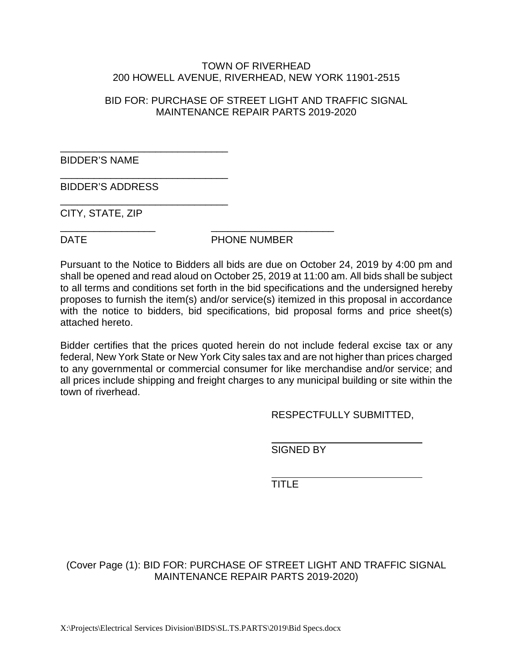#### TOWN OF RIVERHEAD 200 HOWELL AVENUE, RIVERHEAD, NEW YORK 11901-2515

#### BID FOR: PURCHASE OF STREET LIGHT AND TRAFFIC SIGNAL MAINTENANCE REPAIR PARTS 2019-2020

BIDDER'S NAME

BIDDER'S ADDRESS

\_\_\_\_\_\_\_\_\_\_\_\_\_\_\_\_\_\_\_\_\_\_\_\_\_\_\_\_\_\_

\_\_\_\_\_\_\_\_\_\_\_\_\_\_\_\_\_\_\_\_\_\_\_\_\_\_\_\_\_\_

\_\_\_\_\_\_\_\_\_\_\_\_\_\_\_\_\_\_\_\_\_\_\_\_\_\_\_\_\_\_

\_\_\_\_\_\_\_\_\_\_\_\_\_\_\_\_\_ \_\_\_\_\_\_\_\_\_\_\_\_\_\_\_\_\_\_\_\_\_\_

CITY, STATE, ZIP

DATE PHONE NUMBER

Pursuant to the Notice to Bidders all bids are due on October 24, 2019 by 4:00 pm and shall be opened and read aloud on October 25, 2019 at 11:00 am. All bids shall be subject to all terms and conditions set forth in the bid specifications and the undersigned hereby proposes to furnish the item(s) and/or service(s) itemized in this proposal in accordance with the notice to bidders, bid specifications, bid proposal forms and price sheet(s) attached hereto.

Bidder certifies that the prices quoted herein do not include federal excise tax or any federal, New York State or New York City sales tax and are not higher than prices charged to any governmental or commercial consumer for like merchandise and/or service; and all prices include shipping and freight charges to any municipal building or site within the town of riverhead.

RESPECTFULLY SUBMITTED,

SIGNED BY

TITLE<sup>1</sup>

(Cover Page (1): BID FOR: PURCHASE OF STREET LIGHT AND TRAFFIC SIGNAL MAINTENANCE REPAIR PARTS 2019-2020)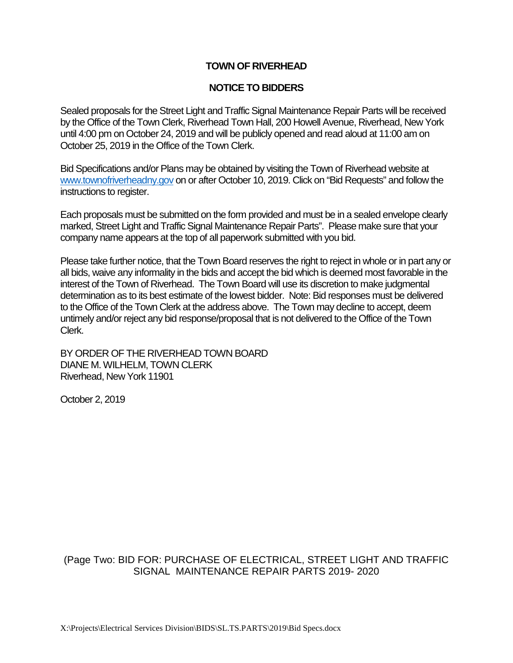#### **TOWN OF RIVERHEAD**

#### **NOTICE TO BIDDERS**

Sealed proposals for the Street Light and Traffic Signal Maintenance Repair Parts will be received by the Office of the Town Clerk, Riverhead Town Hall, 200 Howell Avenue, Riverhead, New York until 4:00 pm on October 24, 2019 and will be publicly opened and read aloud at 11:00 am on October 25, 2019 in the Office of the Town Clerk.

Bid Specifications and/or Plans may be obtained by visiting the Town of Riverhead website at [www.townofriverheadny.gov](http://www.townofriverheadny.gov/) on or after October 10, 2019. Click on "Bid Requests" and follow the instructions to register.

Each proposals must be submitted on the form provided and must be in a sealed envelope clearly marked, Street Light and Traffic Signal Maintenance Repair Parts". Please make sure that your company name appears at the top of all paperwork submitted with you bid.

Please take further notice, that the Town Board reserves the right to reject in whole or in part any or all bids, waive any informality in the bids and accept the bid which is deemed most favorable in the interest of the Town of Riverhead. The Town Board will use its discretion to make judgmental determination as to its best estimate of the lowest bidder. Note: Bid responses must be delivered to the Office of the Town Clerk at the address above. The Town may decline to accept, deem untimely and/or reject any bid response/proposal that is not delivered to the Office of the Town Clerk.

BY ORDER OF THE RIVERHEAD TOWN BOARD DIANE M. WILHELM, TOWN CLERK Riverhead, New York 11901

October 2, 2019

### (Page Two: BID FOR: PURCHASE OF ELECTRICAL, STREET LIGHT AND TRAFFIC SIGNAL MAINTENANCE REPAIR PARTS 2019- 2020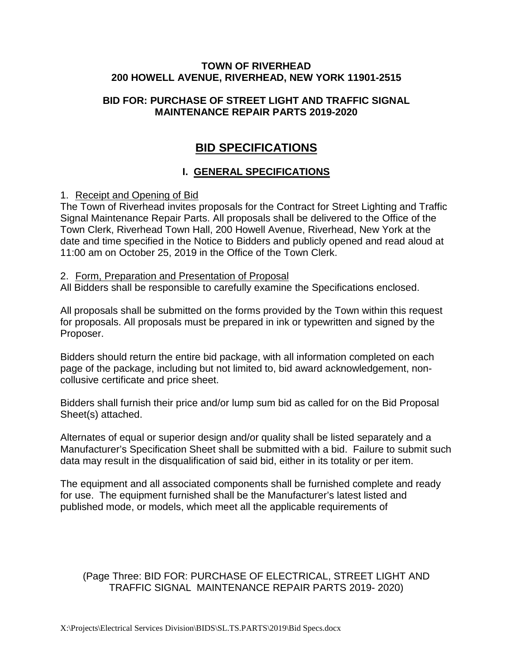#### **TOWN OF RIVERHEAD 200 HOWELL AVENUE, RIVERHEAD, NEW YORK 11901-2515**

#### **BID FOR: PURCHASE OF STREET LIGHT AND TRAFFIC SIGNAL MAINTENANCE REPAIR PARTS 2019-2020**

# **BID SPECIFICATIONS**

# **I. GENERAL SPECIFICATIONS**

#### 1. Receipt and Opening of Bid

The Town of Riverhead invites proposals for the Contract for Street Lighting and Traffic Signal Maintenance Repair Parts. All proposals shall be delivered to the Office of the Town Clerk, Riverhead Town Hall, 200 Howell Avenue, Riverhead, New York at the date and time specified in the Notice to Bidders and publicly opened and read aloud at 11:00 am on October 25, 2019 in the Office of the Town Clerk.

#### 2. Form, Preparation and Presentation of Proposal

All Bidders shall be responsible to carefully examine the Specifications enclosed.

All proposals shall be submitted on the forms provided by the Town within this request for proposals. All proposals must be prepared in ink or typewritten and signed by the Proposer.

Bidders should return the entire bid package, with all information completed on each page of the package, including but not limited to, bid award acknowledgement, noncollusive certificate and price sheet.

Bidders shall furnish their price and/or lump sum bid as called for on the Bid Proposal Sheet(s) attached.

Alternates of equal or superior design and/or quality shall be listed separately and a Manufacturer's Specification Sheet shall be submitted with a bid. Failure to submit such data may result in the disqualification of said bid, either in its totality or per item.

The equipment and all associated components shall be furnished complete and ready for use. The equipment furnished shall be the Manufacturer's latest listed and published mode, or models, which meet all the applicable requirements of

## (Page Three: BID FOR: PURCHASE OF ELECTRICAL, STREET LIGHT AND TRAFFIC SIGNAL MAINTENANCE REPAIR PARTS 2019- 2020)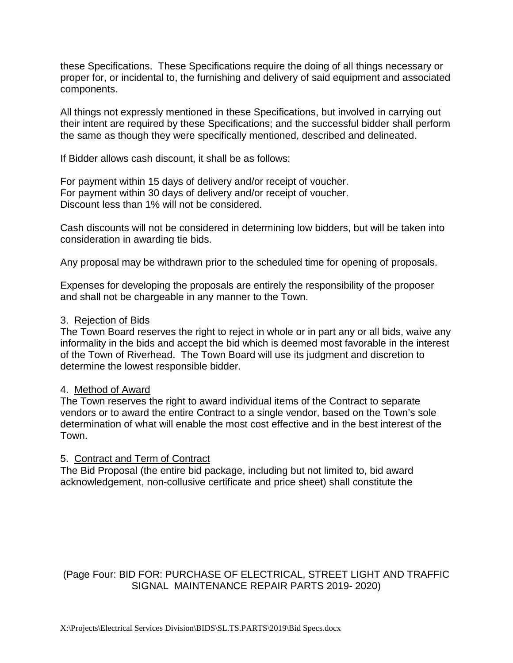these Specifications. These Specifications require the doing of all things necessary or proper for, or incidental to, the furnishing and delivery of said equipment and associated components.

All things not expressly mentioned in these Specifications, but involved in carrying out their intent are required by these Specifications; and the successful bidder shall perform the same as though they were specifically mentioned, described and delineated.

If Bidder allows cash discount, it shall be as follows:

For payment within 15 days of delivery and/or receipt of voucher. For payment within 30 days of delivery and/or receipt of voucher. Discount less than 1% will not be considered.

Cash discounts will not be considered in determining low bidders, but will be taken into consideration in awarding tie bids.

Any proposal may be withdrawn prior to the scheduled time for opening of proposals.

Expenses for developing the proposals are entirely the responsibility of the proposer and shall not be chargeable in any manner to the Town.

#### 3. Rejection of Bids

The Town Board reserves the right to reject in whole or in part any or all bids, waive any informality in the bids and accept the bid which is deemed most favorable in the interest of the Town of Riverhead. The Town Board will use its judgment and discretion to determine the lowest responsible bidder.

#### 4. Method of Award

The Town reserves the right to award individual items of the Contract to separate vendors or to award the entire Contract to a single vendor, based on the Town's sole determination of what will enable the most cost effective and in the best interest of the Town.

### 5. Contract and Term of Contract

The Bid Proposal (the entire bid package, including but not limited to, bid award acknowledgement, non-collusive certificate and price sheet) shall constitute the

## (Page Four: BID FOR: PURCHASE OF ELECTRICAL, STREET LIGHT AND TRAFFIC SIGNAL MAINTENANCE REPAIR PARTS 2019- 2020)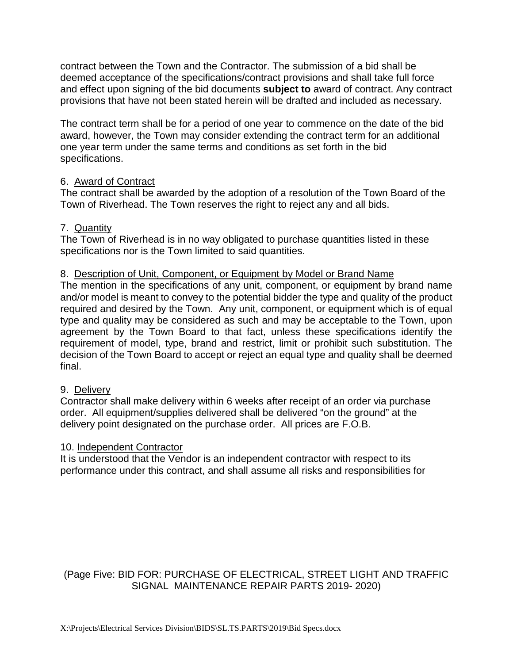contract between the Town and the Contractor. The submission of a bid shall be deemed acceptance of the specifications/contract provisions and shall take full force and effect upon signing of the bid documents **subject to** award of contract. Any contract provisions that have not been stated herein will be drafted and included as necessary.

The contract term shall be for a period of one year to commence on the date of the bid award, however, the Town may consider extending the contract term for an additional one year term under the same terms and conditions as set forth in the bid specifications.

#### 6. Award of Contract

The contract shall be awarded by the adoption of a resolution of the Town Board of the Town of Riverhead. The Town reserves the right to reject any and all bids.

#### 7. Quantity

The Town of Riverhead is in no way obligated to purchase quantities listed in these specifications nor is the Town limited to said quantities.

#### 8. Description of Unit, Component, or Equipment by Model or Brand Name

The mention in the specifications of any unit, component, or equipment by brand name and/or model is meant to convey to the potential bidder the type and quality of the product required and desired by the Town. Any unit, component, or equipment which is of equal type and quality may be considered as such and may be acceptable to the Town, upon agreement by the Town Board to that fact, unless these specifications identify the requirement of model, type, brand and restrict, limit or prohibit such substitution. The decision of the Town Board to accept or reject an equal type and quality shall be deemed final.

#### 9. Delivery

Contractor shall make delivery within 6 weeks after receipt of an order via purchase order. All equipment/supplies delivered shall be delivered "on the ground" at the delivery point designated on the purchase order. All prices are F.O.B.

#### 10. Independent Contractor

It is understood that the Vendor is an independent contractor with respect to its performance under this contract, and shall assume all risks and responsibilities for

## (Page Five: BID FOR: PURCHASE OF ELECTRICAL, STREET LIGHT AND TRAFFIC SIGNAL MAINTENANCE REPAIR PARTS 2019- 2020)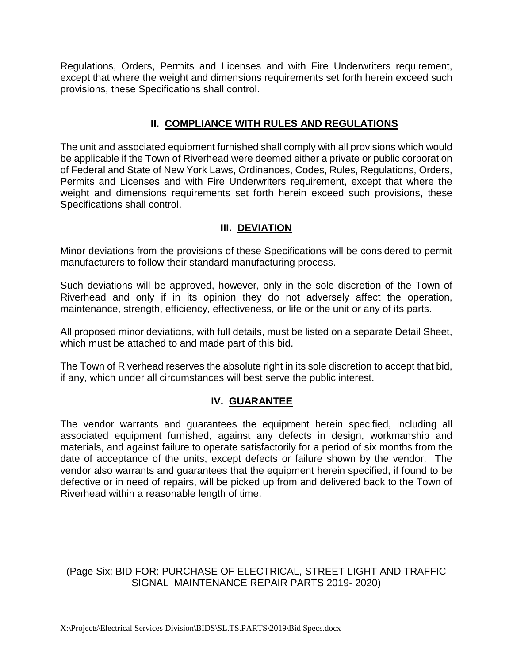Regulations, Orders, Permits and Licenses and with Fire Underwriters requirement, except that where the weight and dimensions requirements set forth herein exceed such provisions, these Specifications shall control.

#### **II. COMPLIANCE WITH RULES AND REGULATIONS**

The unit and associated equipment furnished shall comply with all provisions which would be applicable if the Town of Riverhead were deemed either a private or public corporation of Federal and State of New York Laws, Ordinances, Codes, Rules, Regulations, Orders, Permits and Licenses and with Fire Underwriters requirement, except that where the weight and dimensions requirements set forth herein exceed such provisions, these Specifications shall control.

### **III. DEVIATION**

Minor deviations from the provisions of these Specifications will be considered to permit manufacturers to follow their standard manufacturing process.

Such deviations will be approved, however, only in the sole discretion of the Town of Riverhead and only if in its opinion they do not adversely affect the operation, maintenance, strength, efficiency, effectiveness, or life or the unit or any of its parts.

All proposed minor deviations, with full details, must be listed on a separate Detail Sheet, which must be attached to and made part of this bid.

The Town of Riverhead reserves the absolute right in its sole discretion to accept that bid, if any, which under all circumstances will best serve the public interest.

#### **IV. GUARANTEE**

The vendor warrants and guarantees the equipment herein specified, including all associated equipment furnished, against any defects in design, workmanship and materials, and against failure to operate satisfactorily for a period of six months from the date of acceptance of the units, except defects or failure shown by the vendor. The vendor also warrants and guarantees that the equipment herein specified, if found to be defective or in need of repairs, will be picked up from and delivered back to the Town of Riverhead within a reasonable length of time.

#### (Page Six: BID FOR: PURCHASE OF ELECTRICAL, STREET LIGHT AND TRAFFIC SIGNAL MAINTENANCE REPAIR PARTS 2019- 2020)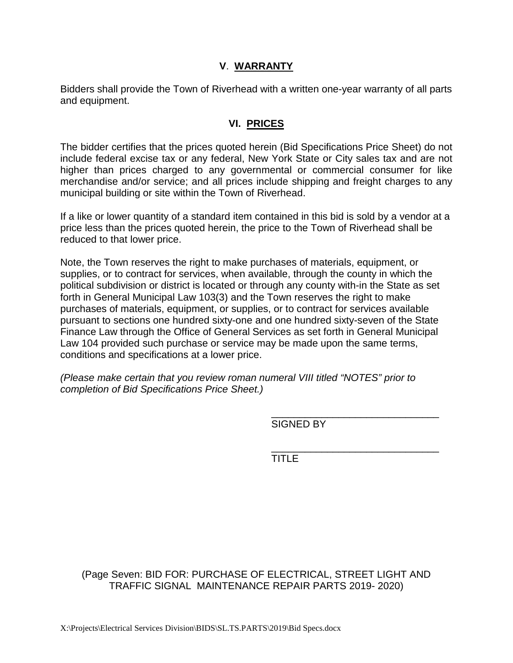#### **V**. **WARRANTY**

Bidders shall provide the Town of Riverhead with a written one-year warranty of all parts and equipment.

#### **VI. PRICES**

The bidder certifies that the prices quoted herein (Bid Specifications Price Sheet) do not include federal excise tax or any federal, New York State or City sales tax and are not higher than prices charged to any governmental or commercial consumer for like merchandise and/or service; and all prices include shipping and freight charges to any municipal building or site within the Town of Riverhead.

If a like or lower quantity of a standard item contained in this bid is sold by a vendor at a price less than the prices quoted herein, the price to the Town of Riverhead shall be reduced to that lower price.

Note, the Town reserves the right to make purchases of materials, equipment, or supplies, or to contract for services, when available, through the county in which the political subdivision or district is located or through any county with-in the State as set forth in General Municipal Law 103(3) and the Town reserves the right to make purchases of materials, equipment, or supplies, or to contract for services available pursuant to sections one hundred sixty-one and one hundred sixty-seven of the State Finance Law through the Office of General Services as set forth in General Municipal Law 104 provided such purchase or service may be made upon the same terms, conditions and specifications at a lower price.

*(Please make certain that you review roman numeral VIII titled "NOTES" prior to completion of Bid Specifications Price Sheet.)* 

> \_\_\_\_\_\_\_\_\_\_\_\_\_\_\_\_\_\_\_\_\_\_\_\_\_\_\_\_\_\_ SIGNED BY

> \_\_\_\_\_\_\_\_\_\_\_\_\_\_\_\_\_\_\_\_\_\_\_\_\_\_\_\_\_\_ TITLE

#### (Page Seven: BID FOR: PURCHASE OF ELECTRICAL, STREET LIGHT AND TRAFFIC SIGNAL MAINTENANCE REPAIR PARTS 2019- 2020)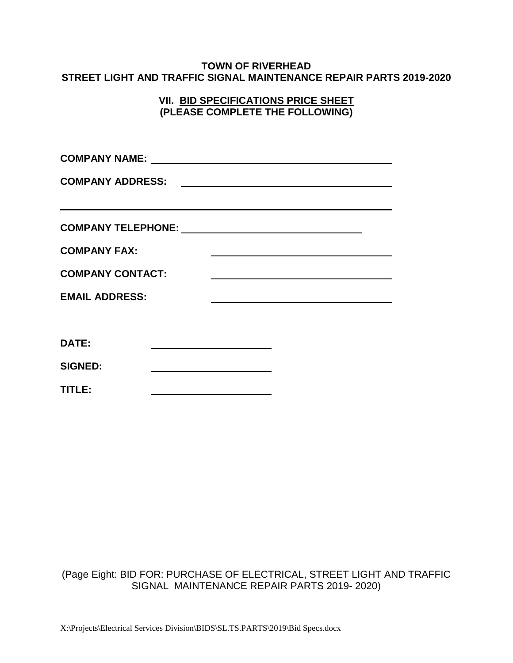#### **TOWN OF RIVERHEAD STREET LIGHT AND TRAFFIC SIGNAL MAINTENANCE REPAIR PARTS 2019-2020**

#### **VII. BID SPECIFICATIONS PRICE SHEET (PLEASE COMPLETE THE FOLLOWING)**

| <b>COMPANY ADDRESS:</b><br><u> 1989 - Johann Stein, mars an de Brandenburg (b. 1989)</u> |                                                                                                                      |  |  |  |  |  |
|------------------------------------------------------------------------------------------|----------------------------------------------------------------------------------------------------------------------|--|--|--|--|--|
|                                                                                          | <u> 2000 - Jan Barat de Barat de la contrada de la contrada de la contrada de la contrada de la contrada de la c</u> |  |  |  |  |  |
|                                                                                          |                                                                                                                      |  |  |  |  |  |
| <b>COMPANY FAX:</b>                                                                      |                                                                                                                      |  |  |  |  |  |
| <b>COMPANY CONTACT:</b>                                                                  |                                                                                                                      |  |  |  |  |  |
| <b>EMAIL ADDRESS:</b>                                                                    |                                                                                                                      |  |  |  |  |  |
|                                                                                          |                                                                                                                      |  |  |  |  |  |
| DATE:                                                                                    |                                                                                                                      |  |  |  |  |  |
| <b>SIGNED:</b>                                                                           |                                                                                                                      |  |  |  |  |  |
| TITLE:                                                                                   |                                                                                                                      |  |  |  |  |  |

#### (Page Eight: BID FOR: PURCHASE OF ELECTRICAL, STREET LIGHT AND TRAFFIC SIGNAL MAINTENANCE REPAIR PARTS 2019- 2020)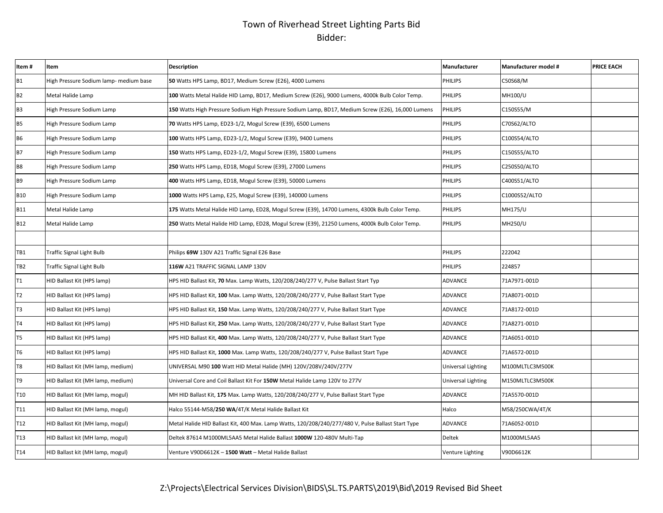# Town of Riverhead Street Lighting Parts Bid Bidder:

| Item#           | <b>Item</b>                            | <b>Description</b>                                                                                 | Manufacturer       | <b>Manufacturer model #</b> | <b>PRICE EACH</b> |
|-----------------|----------------------------------------|----------------------------------------------------------------------------------------------------|--------------------|-----------------------------|-------------------|
| <b>B1</b>       | High Pressure Sodium lamp- medium base | 50 Watts HPS Lamp, BD17, Medium Screw (E26), 4000 Lumens                                           | <b>PHILIPS</b>     | C50S68/M                    |                   |
| <b>B2</b>       | Metal Halide Lamp                      | 100 Watts Metal Halide HID Lamp, BD17, Medium Screw (E26), 9000 Lumens, 4000k Bulb Color Temp.     | <b>PHILIPS</b>     | <b>MH100/U</b>              |                   |
| B <sub>3</sub>  | High Pressure Sodium Lamp              | 150 Watts High Pressure Sodium High Pressure Sodium Lamp, BD17, Medium Screw (E26), 16,000 Lumens  | <b>PHILIPS</b>     | C150S55/M                   |                   |
| <b>B5</b>       | High Pressure Sodium Lamp              | 70 Watts HPS Lamp, ED23-1/2, Mogul Screw (E39), 6500 Lumens                                        | <b>PHILIPS</b>     | C70S62/ALTO                 |                   |
| B6              | High Pressure Sodium Lamp              | 100 Watts HPS Lamp, ED23-1/2, Mogul Screw (E39), 9400 Lumens                                       | <b>PHILIPS</b>     | C100S54/ALTO                |                   |
| <b>B7</b>       | High Pressure Sodium Lamp              | 150 Watts HPS Lamp, ED23-1/2, Mogul Screw (E39), 15800 Lumens                                      | <b>PHILIPS</b>     | C150S55/ALTO                |                   |
| B <sub>8</sub>  | High Pressure Sodium Lamp              | 250 Watts HPS Lamp, ED18, Mogul Screw (E39), 27000 Lumens                                          | <b>PHILIPS</b>     | C250S50/ALTO                |                   |
| B9              | High Pressure Sodium Lamp              | 400 Watts HPS Lamp, ED18, Mogul Screw (E39), 50000 Lumens                                          | <b>PHILIPS</b>     | C400S51/ALTO                |                   |
| <b>B10</b>      | High Pressure Sodium Lamp              | 1000 Watts HPS Lamp, E25, Mogul Screw (E39), 140000 Lumens                                         | <b>PHILIPS</b>     | C1000S52/ALTO               |                   |
| <b>B11</b>      | Metal Halide Lamp                      | 175 Watts Metal Halide HID Lamp, ED28, Mogul Screw (E39), 14700 Lumens, 4300k Bulb Color Temp.     | <b>PHILIPS</b>     | <b>MH175/U</b>              |                   |
| <b>B12</b>      | Metal Halide Lamp                      | 250 Watts Metal Halide HID Lamp, ED28, Mogul Screw (E39), 21250 Lumens, 4000k Bulb Color Temp.     | <b>PHILIPS</b>     | <b>MH250/U</b>              |                   |
|                 |                                        |                                                                                                    |                    |                             |                   |
| TB1             | <b>Traffic Signal Light Bulb</b>       | Philips 69W 130V A21 Traffic Signal E26 Base                                                       | <b>PHILIPS</b>     | 222042                      |                   |
| TB <sub>2</sub> | <b>Traffic Signal Light Bulb</b>       | 116W A21 TRAFFIC SIGNAL LAMP 130V                                                                  | <b>PHILIPS</b>     | 224857                      |                   |
| Τ1              | HID Ballast Kit (HPS lamp)             | HPS HID Ballast Kit, 70 Max. Lamp Watts, 120/208/240/277 V, Pulse Ballast Start Typ                | <b>ADVANCE</b>     | 71A7971-001D                |                   |
| T <sub>2</sub>  | HID Ballast Kit (HPS lamp)             | HPS HID Ballast Kit, 100 Max. Lamp Watts, 120/208/240/277 V, Pulse Ballast Start Type              | ADVANCE            | 71A8071-001D                |                   |
| T3              | HID Ballast Kit (HPS lamp)             | HPS HID Ballast Kit, 150 Max. Lamp Watts, 120/208/240/277 V, Pulse Ballast Start Type              | ADVANCE            | 71A8172-001D                |                   |
| Τ4              | HID Ballast Kit (HPS lamp)             | HPS HID Ballast Kit, 250 Max. Lamp Watts, 120/208/240/277 V, Pulse Ballast Start Type              | ADVANCE            | 71A8271-001D                |                   |
| T5              | HID Ballast Kit (HPS lamp)             | HPS HID Ballast Kit, 400 Max. Lamp Watts, 120/208/240/277 V, Pulse Ballast Start Type              | ADVANCE            | 71A6051-001D                |                   |
| T <sub>6</sub>  | HID Ballast Kit (HPS lamp)             | HPS HID Ballast Kit, 1000 Max. Lamp Watts, 120/208/240/277 V, Pulse Ballast Start Type             | ADVANCE            | 71A6572-001D                |                   |
| T8              | HID Ballast Kit (MH lamp, medium)      | UNIVERSAL M90 100 Watt HID Metal Halide (MH) 120V/208V/240V/277V                                   | Universal Lighting | M100MLTLC3M500K             |                   |
| T9              | HID Ballast Kit (MH lamp, medium)      | Universal Core and Coil Ballast Kit For 150W Metal Halide Lamp 120V to 277V                        | Universal Lighting | M150MLTLC3M500K             |                   |
| <b>T10</b>      | HID Ballast Kit (MH lamp, mogul)       | MH HID Ballast Kit, 175 Max. Lamp Watts, 120/208/240/277 V, Pulse Ballast Start Type               | ADVANCE            | 71A5570-001D                |                   |
| T <sub>11</sub> | HID Ballast Kit (MH lamp, mogul)       | Halco 55144-M58/250 WA/4T/K Metal Halide Ballast Kit                                               | Halco              | M58/250CWA/4T/K             |                   |
| T12             | HID Ballast Kit (MH lamp, mogul)       | Metal Halide HID Ballast Kit, 400 Max. Lamp Watts, 120/208/240/277/480 V, Pulse Ballast Start Type | <b>ADVANCE</b>     | 71A6052-001D                |                   |
| T <sub>13</sub> | HID Ballast kit (MH lamp, mogul)       | Deltek 87614 M1000ML5AA5 Metal Halide Ballast 1000W 120-480V Multi-Tap                             | <b>Deltek</b>      | M1000ML5AA5                 |                   |
| T <sub>14</sub> | HID Ballast kit (MH lamp, mogul)       | Venture V90D6612K - 1500 Watt - Metal Halide Ballast                                               | Venture Lighting   | V90D6612K                   |                   |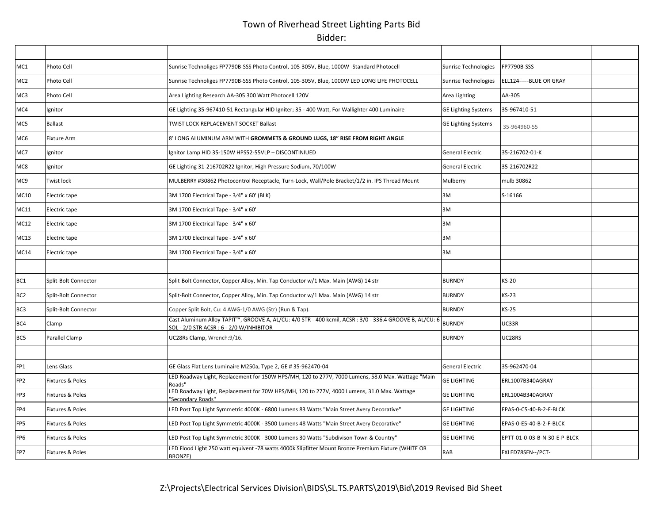# Town of Riverhead Street Lighting Parts Bid Bidder:

| MC1             | Photo Cell                  | Sunrise Technoliges FP7790B-SSS Photo Control, 105-305V, Blue, 1000W -Standard Photocell                                                                         | Sunrise Technologies       | FP7790B-SSS                  |  |
|-----------------|-----------------------------|------------------------------------------------------------------------------------------------------------------------------------------------------------------|----------------------------|------------------------------|--|
| MC <sub>2</sub> | Photo Cell                  | Sunrise Technoliges FP7790B-SSS Photo Control, 105-305V, Blue, 1000W LED LONG LIFE PHOTOCELL                                                                     | Sunrise Technologies       | ELL124-----BLUE OR GRAY      |  |
| MC3             | Photo Cell                  | Area Lighting Research AA-305 300 Watt Photocell 120V                                                                                                            | Area Lighting              | AA-305                       |  |
| MC4             | Ignitor                     | GE Lighting 35-967410-51 Rectangular HID Igniter; 35 - 400 Watt, For Wallighter 400 Luminaire                                                                    | <b>GE Lighting Systems</b> | 35-967410-51                 |  |
| MC5             | <b>Ballast</b>              | TWIST LOCK REPLACEMENT SOCKET Ballast                                                                                                                            | <b>GE Lighting Systems</b> | 35-964960-55                 |  |
| MC6             | Fixture Arm                 | 8' LONG ALUMINUM ARM WITH GROMMETS & GROUND LUGS, 18" RISE FROM RIGHT ANGLE                                                                                      |                            |                              |  |
| MC7             | Ignitor                     | Ignitor Lamp HID 35-150W HPS52-55VLP - DISCONTINIUED                                                                                                             | <b>General Electric</b>    | 35-216702-01-K               |  |
| MC8             | Ignitor                     | GE Lighting 31-216702R22 Ignitor, High Pressure Sodium, 70/100W                                                                                                  | General Electric           | 35-216702R22                 |  |
| MC9             | Twist lock                  | MULBERRY #30862 Photocontrol Receptacle, Turn-Lock, Wall/Pole Bracket/1/2 in. IPS Thread Mount                                                                   | Mulberry                   | mulb 30862                   |  |
| <b>MC10</b>     | Electric tape               | 3M 1700 Electrical Tape - 3/4" x 60' (BLK)                                                                                                                       | 3M                         | S-16166                      |  |
| <b>MC11</b>     | Electric tape               | 3M 1700 Electrical Tape - 3/4" x 60'                                                                                                                             | 3M                         |                              |  |
| <b>MC12</b>     | Electric tape               | 3M 1700 Electrical Tape - 3/4" x 60'                                                                                                                             | 3M                         |                              |  |
| <b>MC13</b>     | Electric tape               | 3M 1700 Electrical Tape - 3/4" x 60'                                                                                                                             | 3M                         |                              |  |
| <b>MC14</b>     | Electric tape               | 3M 1700 Electrical Tape - 3/4" x 60'                                                                                                                             | 3M                         |                              |  |
|                 |                             |                                                                                                                                                                  |                            |                              |  |
| BC <sub>1</sub> | Split-Bolt Connector        | Split-Bolt Connector, Copper Alloy, Min. Tap Conductor w/1 Max. Main (AWG) 14 str                                                                                | <b>BURNDY</b>              | <b>KS-20</b>                 |  |
| BC <sub>2</sub> | Split-Bolt Connector        | Split-Bolt Connector, Copper Alloy, Min. Tap Conductor w/1 Max. Main (AWG) 14 str                                                                                | <b>BURNDY</b>              | <b>KS-23</b>                 |  |
| BC <sub>3</sub> | Split-Bolt Connector        | Copper Split Bolt, Cu: 4 AWG-1/0 AWG (Str) (Run & Tap).                                                                                                          | <b>BURNDY</b>              | $KS-25$                      |  |
| BC4             | Clamp                       | Cast Aluminum Alloy TAPIT <sup>M</sup> , GROOVE A, AL/CU: 4/0 STR - 400 kcmil, ACSR : 3/0 - 336.4 GROOVE B, AL/CU: 6<br>SOL - 2/0 STR ACSR : 6 - 2/0 W/INHIBITOR | <b>BURNDY</b>              | UC33R                        |  |
| BC5             | Parallel Clamp              | UC28Rs Clamp, Wrench:9/16.                                                                                                                                       | <b>BURNDY</b>              | UC28RS                       |  |
|                 |                             |                                                                                                                                                                  |                            |                              |  |
| FP1             | Lens Glass                  | GE Glass Flat Lens Luminaire M250a, Type 2, GE # 35-962470-04                                                                                                    | General Electric           | 35-962470-04                 |  |
| FP <sub>2</sub> | <b>Fixtures &amp; Poles</b> | LED Roadway Light, Replacement for 150W HPS/MH, 120 to 277V, 7000 Lumens, 58.0 Max. Wattage "Main<br>Roads"                                                      | <b>GE LIGHTING</b>         | ERL1007B340AGRAY             |  |
| FP3             | Fixtures & Poles            | LED Roadway Light, Replacement for 70W HPS/MH, 120 to 277V, 4000 Lumens, 31.0 Max. Wattage<br>"Secondary Roads"                                                  | <b>GE LIGHTING</b>         | ERL1004B340AGRAY             |  |
| FP4             | <b>Fixtures &amp; Poles</b> | LED Post Top Light Symmetric 4000K - 6800 Lumens 83 Watts "Main Street Avery Decorative"                                                                         | <b>GE LIGHTING</b>         | EPAS-0-C5-40-B-2-F-BLCK      |  |
| FP5             | Fixtures & Poles            | LED Post Top Light Symmetric 4000K - 3500 Lumens 48 Watts "Main Street Avery Decorative"                                                                         | <b>GE LIGHTING</b>         | EPAS-0-E5-40-B-2-F-BLCK      |  |
| FP <sub>6</sub> | Fixtures & Poles            | LED Post Top Light Symmetric 3000K - 3000 Lumens 30 Watts "Subdivison Town & Country"                                                                            | <b>GE LIGHTING</b>         | EPTT-01-0-03-B-N-30-E-P-BLCK |  |
| FP7             | Fixtures & Poles            | LED Flood Light 250 watt equivent -78 watts 4000k Slipfitter Mount Bronze Premium Fixture (WHITE OR<br><b>BRONZE)</b>                                            | RAB                        | FXLED78SFN--/PCT-            |  |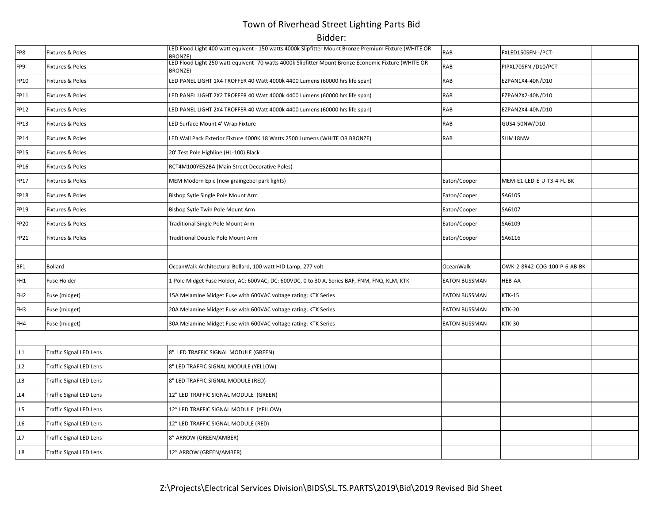# Town of Riverhead Street Lighting Parts Bid

Bidder:

| FP8             | Fixtures & Poles               | LED Flood Light 400 watt equivent - 150 watts 4000k Slipfitter Mount Bronze Premium Fixture (WHITE OR<br><b>BRONZE)</b> | <b>RAB</b>           | FXLED150SFN--/PCT-           |  |
|-----------------|--------------------------------|-------------------------------------------------------------------------------------------------------------------------|----------------------|------------------------------|--|
| FP9             | Fixtures & Poles               | LED Flood Light 250 watt equivent -70 watts 4000k Slipfitter Mount Bronze Economic Fixture (WHITE OR<br><b>BRONZE)</b>  | <b>RAB</b>           | PIPXL70SFN-/D10/PCT-         |  |
| FP10            | Fixtures & Poles               | LED PANEL LIGHT 1X4 TROFFER 40 Watt 4000k 4400 Lumens (60000 hrs life span)                                             | <b>RAB</b>           | EZPAN1X4-40N/D10             |  |
| FP11            | Fixtures & Poles               | LED PANEL LIGHT 2X2 TROFFER 40 Watt 4000k 4400 Lumens (60000 hrs life span)                                             | <b>RAB</b>           | EZPAN2X2-40N/D10             |  |
| FP12            | Fixtures & Poles               | LED PANEL LIGHT 2X4 TROFFER 40 Watt 4000k 4400 Lumens (60000 hrs life span)                                             | <b>RAB</b>           | EZPAN2X4-40N/D10             |  |
| <b>FP13</b>     | Fixtures & Poles               | LED Surface Mount 4' Wrap Fixture                                                                                       | <b>RAB</b>           | GUS4-50NW/D10                |  |
| FP14            | Fixtures & Poles               | LED Wall Pack Exterior Fixture 4000K 18 Watts 2500 Lumens (WHITE OR BRONZE)                                             | <b>RAB</b>           | SLIM18NW                     |  |
| FP15            | Fixtures & Poles               | 20' Test Pole Highline (HL-100) Black                                                                                   |                      |                              |  |
| FP16            | Fixtures & Poles               | RCT4M100YE52BA (Main Street Decorative Poles)                                                                           |                      |                              |  |
| FP17            | Fixtures & Poles               | MEM Modern Epic (new graingebel park lights)                                                                            | Eaton/Cooper         | MEM-E1-LED-E-U-T3-4-FL-BK    |  |
| FP18            | Fixtures & Poles               | Bishop Sytle Single Pole Mount Arm                                                                                      | Eaton/Cooper         | SA6105                       |  |
| FP19            | Fixtures & Poles               | Bishop Sytle Twin Pole Mount Arm                                                                                        | Eaton/Cooper         | SA6107                       |  |
| FP20            | Fixtures & Poles               | Traditional Single Pole Mount Arm                                                                                       | Eaton/Cooper         | SA6109                       |  |
| FP21            | Fixtures & Poles               | Traditional Double Pole Mount Arm                                                                                       | Eaton/Cooper         | SA6116                       |  |
|                 |                                |                                                                                                                         |                      |                              |  |
| BF1             | <b>Bollard</b>                 | OceanWalk Architectural Bollard, 100 watt HID Lamp, 277 volt                                                            | <b>OceanWalk</b>     | OWK-2-8R42-COG-100-P-6-AB-BK |  |
| FH1             | <b>Fuse Holder</b>             | 1-Pole Midget Fuse Holder, AC: 600VAC; DC: 600VDC, 0 to 30 A, Series BAF, FNM, FNQ, KLM, KTK                            | <b>EATON BUSSMAN</b> | HEB-AA                       |  |
| FH <sub>2</sub> | Fuse (midget)                  | 15A Melamine Midget Fuse with 600VAC voltage rating; KTK Series                                                         | <b>EATON BUSSMAN</b> | <b>KTK-15</b>                |  |
| FH3             | Fuse (midget)                  | 20A Melamine Midget Fuse with 600VAC voltage rating; KTK Series                                                         | <b>EATON BUSSMAN</b> | <b>KTK-20</b>                |  |
| FH4             | Fuse (midget)                  | 30A Melamine Midget Fuse with 600VAC voltage rating; KTK Series                                                         | <b>EATON BUSSMAN</b> | <b>KTK-30</b>                |  |
|                 |                                |                                                                                                                         |                      |                              |  |
| LL1             | <b>Traffic Signal LED Lens</b> | 8" LED TRAFFIC SIGNAL MODULE (GREEN)                                                                                    |                      |                              |  |
| LL2             | <b>Traffic Signal LED Lens</b> | 8" LED TRAFFIC SIGNAL MODULE (YELLOW)                                                                                   |                      |                              |  |
| L3              | <b>Traffic Signal LED Lens</b> | 8" LED TRAFFIC SIGNAL MODULE (RED)                                                                                      |                      |                              |  |
| LL4             | <b>Traffic Signal LED Lens</b> | 12" LED TRAFFIC SIGNAL MODULE (GREEN)                                                                                   |                      |                              |  |
| LL5             | <b>Traffic Signal LED Lens</b> | 12" LED TRAFFIC SIGNAL MODULE (YELLOW)                                                                                  |                      |                              |  |
| LL6             | <b>Traffic Signal LED Lens</b> | 12" LED TRAFFIC SIGNAL MODULE (RED)                                                                                     |                      |                              |  |
| LL7             | <b>Traffic Signal LED Lens</b> | 8" ARROW (GREEN/AMBER)                                                                                                  |                      |                              |  |
| LL8             | Traffic Signal LED Lens        | 12" ARROW (GREEN/AMBER)                                                                                                 |                      |                              |  |
|                 |                                |                                                                                                                         |                      |                              |  |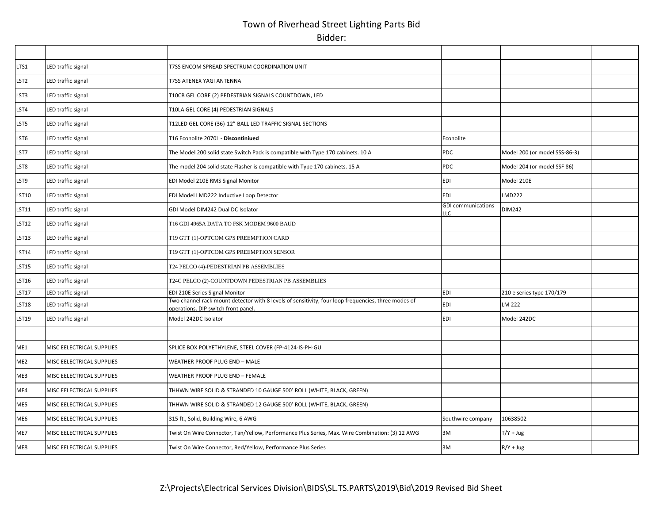# Town of Riverhead Street Lighting Parts Bid Bidder:

| LTS1             | LED traffic signal        | T7SS ENCOM SPREAD SPECTRUM COORDINATION UNIT                                                                                               |                                  |                               |  |
|------------------|---------------------------|--------------------------------------------------------------------------------------------------------------------------------------------|----------------------------------|-------------------------------|--|
| LST <sub>2</sub> | LED traffic signal        | T7SS ATENEX YAGI ANTENNA                                                                                                                   |                                  |                               |  |
| LST <sub>3</sub> | LED traffic signal        | T10CB GEL CORE (2) PEDESTRIAN SIGNALS COUNTDOWN, LED                                                                                       |                                  |                               |  |
| LST4             | LED traffic signal        | T10LA GEL CORE (4) PEDESTRIAN SIGNALS                                                                                                      |                                  |                               |  |
| LST5             | LED traffic signal        | T12LED GEL CORE (36)-12" BALL LED TRAFFIC SIGNAL SECTIONS                                                                                  |                                  |                               |  |
| LST <sub>6</sub> | LED traffic signal        | T16 Econolite 2070L - Discontiniued                                                                                                        | Econolite                        |                               |  |
| LST7             | LED traffic signal        | The Model 200 solid state Switch Pack is compatible with Type 170 cabinets. 10 A                                                           | PDC                              | Model 200 (or model SSS-86-3) |  |
| LST8             | LED traffic signal        | The model 204 solid state Flasher is compatible with Type 170 cabinets. 15 A                                                               | <b>PDC</b>                       | Model 204 (or model SSF 86)   |  |
| LST9             | LED traffic signal        | EDI Model 210E RMS Signal Monitor                                                                                                          | <b>EDI</b>                       | Model 210E                    |  |
| <b>LST10</b>     | LED traffic signal        | EDI Model LMD222 Inductive Loop Detector                                                                                                   | <b>EDI</b>                       | <b>LMD222</b>                 |  |
| <b>LST11</b>     | LED traffic signal        | GDI Model DIM242 Dual DC Isolator                                                                                                          | <b>GDI</b> communications<br>LLC | <b>DIM242</b>                 |  |
| <b>LST12</b>     | LED traffic signal        | T16 GDI 4965A DATA TO FSK MODEM 9600 BAUD                                                                                                  |                                  |                               |  |
| <b>LST13</b>     | LED traffic signal        | T19 GTT (1)-OPTCOM GPS PREEMPTION CARD                                                                                                     |                                  |                               |  |
| <b>LST14</b>     | LED traffic signal        | T19 GTT (1)-OPTCOM GPS PREEMPTION SENSOR                                                                                                   |                                  |                               |  |
| <b>LST15</b>     | LED traffic signal        | T24 PELCO (4)-PEDESTRIAN PB ASSEMBLIES                                                                                                     |                                  |                               |  |
| <b>LST16</b>     | LED traffic signal        | T24C PELCO (2)-COUNTDOWN PEDESTRIAN PB ASSEMBLIES                                                                                          |                                  |                               |  |
| <b>LST17</b>     | LED traffic signal        | EDI 210E Series Signal Monitor                                                                                                             | <b>EDI</b>                       | 210 e series type 170/179     |  |
| <b>LST18</b>     | LED traffic signal        | Two channel rack mount detector with 8 levels of sensitivity, four loop frequencies, three modes of<br>operations. DIP switch front panel. | <b>EDI</b>                       | LM 222                        |  |
| <b>LST19</b>     | LED traffic signal        | Model 242DC Isolator                                                                                                                       | <b>EDI</b>                       | Model 242DC                   |  |
|                  |                           |                                                                                                                                            |                                  |                               |  |
| ME1              | MISC EELECTRICAL SUPPLIES | SPLICE BOX POLYETHYLENE, STEEL COVER (FP-4124-IS-PH-GU                                                                                     |                                  |                               |  |
| ME <sub>2</sub>  | MISC EELECTRICAL SUPPLIES | WEATHER PROOF PLUG END - MALE                                                                                                              |                                  |                               |  |
| ME3              | MISC EELECTRICAL SUPPLIES | WEATHER PROOF PLUG END - FEMALE                                                                                                            |                                  |                               |  |
| ME4              | MISC EELECTRICAL SUPPLIES | THHWN WIRE SOLID & STRANDED 10 GAUGE 500' ROLL (WHITE, BLACK, GREEN)                                                                       |                                  |                               |  |
| ME5              | MISC EELECTRICAL SUPPLIES | THHWN WIRE SOLID & STRANDED 12 GAUGE 500' ROLL (WHITE, BLACK, GREEN)                                                                       |                                  |                               |  |
| ME <sub>6</sub>  | MISC EELECTRICAL SUPPLIES | 315 ft., Solid, Building Wire, 6 AWG                                                                                                       | Southwire company                | 10638502                      |  |
| ME7              | MISC EELECTRICAL SUPPLIES | Twist On Wire Connector, Tan/Yellow, Performance Plus Series, Max. Wire Combination: (3) 12 AWG                                            | 3M                               | $T/Y + Jug$                   |  |
| ME8              | MISC EELECTRICAL SUPPLIES | Twist On Wire Connector, Red/Yellow, Performance Plus Series                                                                               | 3M                               | $R/Y + Jug$                   |  |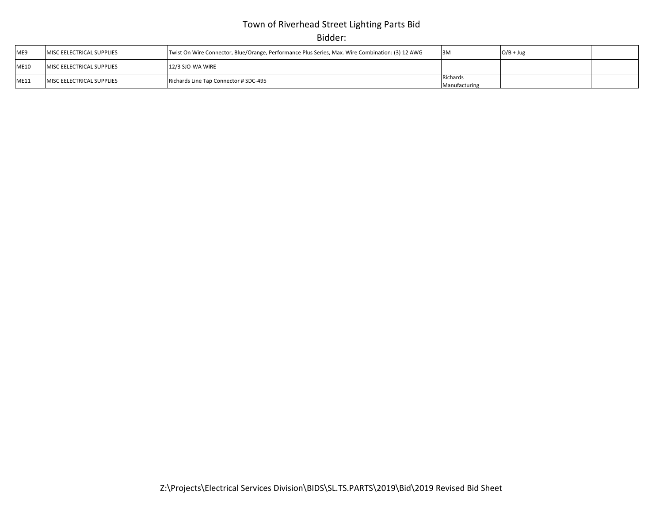# Town of Riverhead Street Lighting Parts Bid

Bidder:

| ME9         | <b>IMISC EELECTRICAL SUPPLIES</b> | Twist On Wire Connector, Blue/Orange, Performance Plus Series, Max. Wire Combination: (3) 12 AWG | 3M                        | $O/B + Jug$ |  |
|-------------|-----------------------------------|--------------------------------------------------------------------------------------------------|---------------------------|-------------|--|
| <b>ME10</b> | <b>MISC EELECTRICAL SUPPLIES</b>  | 12/3 SJO-WA WIRE                                                                                 |                           |             |  |
| ME11        | <b>IMISC EELECTRICAL SUPPLIES</b> | Richards Line Tap Connector # SDC-495                                                            | Richards<br>Manufacturing |             |  |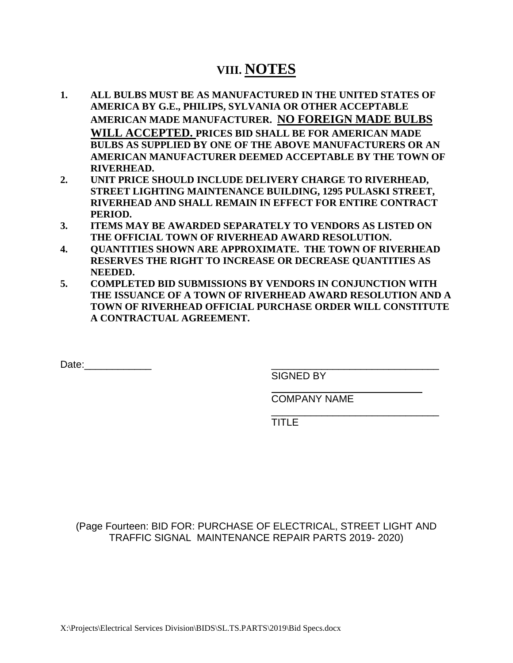# **VIII. NOTES**

- **1. ALL BULBS MUST BE AS MANUFACTURED IN THE UNITED STATES OF AMERICA BY G.E., PHILIPS, SYLVANIA OR OTHER ACCEPTABLE AMERICAN MADE MANUFACTURER. NO FOREIGN MADE BULBS WILL ACCEPTED. PRICES BID SHALL BE FOR AMERICAN MADE BULBS AS SUPPLIED BY ONE OF THE ABOVE MANUFACTURERS OR AN AMERICAN MANUFACTURER DEEMED ACCEPTABLE BY THE TOWN OF RIVERHEAD.**
- **2. UNIT PRICE SHOULD INCLUDE DELIVERY CHARGE TO RIVERHEAD, STREET LIGHTING MAINTENANCE BUILDING, 1295 PULASKI STREET, RIVERHEAD AND SHALL REMAIN IN EFFECT FOR ENTIRE CONTRACT PERIOD.**
- **3. ITEMS MAY BE AWARDED SEPARATELY TO VENDORS AS LISTED ON THE OFFICIAL TOWN OF RIVERHEAD AWARD RESOLUTION.**
- **4. QUANTITIES SHOWN ARE APPROXIMATE. THE TOWN OF RIVERHEAD RESERVES THE RIGHT TO INCREASE OR DECREASE QUANTITIES AS NEEDED.**
- **5. COMPLETED BID SUBMISSIONS BY VENDORS IN CONJUNCTION WITH THE ISSUANCE OF A TOWN OF RIVERHEAD AWARD RESOLUTION AND A TOWN OF RIVERHEAD OFFICIAL PURCHASE ORDER WILL CONSTITUTE A CONTRACTUAL AGREEMENT.**

Date:

SIGNED BY

COMPANY NAME

\_\_\_\_\_\_\_\_\_\_\_\_\_\_\_\_\_\_\_\_\_\_\_\_\_\_\_\_\_\_ TITLE

(Page Fourteen: BID FOR: PURCHASE OF ELECTRICAL, STREET LIGHT AND TRAFFIC SIGNAL MAINTENANCE REPAIR PARTS 2019- 2020)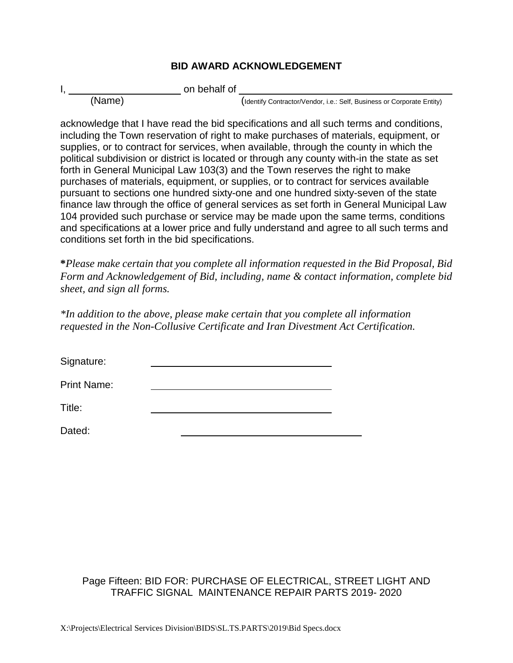#### **BID AWARD ACKNOWLEDGEMENT**

I, on behalf of

(Name) (Identify Contractor/Vendor, i.e.: Self, Business or Corporate Entity)

acknowledge that I have read the bid specifications and all such terms and conditions, including the Town reservation of right to make purchases of materials, equipment, or supplies, or to contract for services, when available, through the county in which the political subdivision or district is located or through any county with-in the state as set forth in General Municipal Law 103(3) and the Town reserves the right to make purchases of materials, equipment, or supplies, or to contract for services available pursuant to sections one hundred sixty-one and one hundred sixty-seven of the state finance law through the office of general services as set forth in General Municipal Law 104 provided such purchase or service may be made upon the same terms, conditions and specifications at a lower price and fully understand and agree to all such terms and conditions set forth in the bid specifications.

**\****Please make certain that you complete all information requested in the Bid Proposal, Bid Form and Acknowledgement of Bid, including, name & contact information, complete bid sheet, and sign all forms.* 

*\*In addition to the above, please make certain that you complete all information requested in the Non-Collusive Certificate and Iran Divestment Act Certification.*

Signature:

Print Name:

Title:

Dated:

#### Page Fifteen: BID FOR: PURCHASE OF ELECTRICAL, STREET LIGHT AND TRAFFIC SIGNAL MAINTENANCE REPAIR PARTS 2019- 2020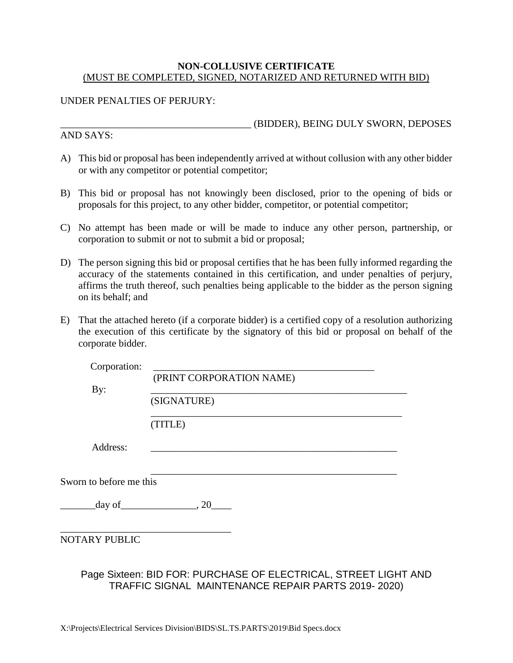#### **NON-COLLUSIVE CERTIFICATE** (MUST BE COMPLETED, SIGNED, NOTARIZED AND RETURNED WITH BID)

#### UNDER PENALTIES OF PERJURY:

AND SAYS:

\_\_\_\_\_\_\_\_\_\_\_\_\_\_\_\_\_\_\_\_\_\_\_\_\_\_\_\_\_\_\_\_\_\_\_\_\_\_ (BIDDER), BEING DULY SWORN, DEPOSES

- A) This bid or proposal has been independently arrived at without collusion with any other bidder or with any competitor or potential competitor;
- B) This bid or proposal has not knowingly been disclosed, prior to the opening of bids or proposals for this project, to any other bidder, competitor, or potential competitor;
- C) No attempt has been made or will be made to induce any other person, partnership, or corporation to submit or not to submit a bid or proposal;
- D) The person signing this bid or proposal certifies that he has been fully informed regarding the accuracy of the statements contained in this certification, and under penalties of perjury, affirms the truth thereof, such penalties being applicable to the bidder as the person signing on its behalf; and
- E) That the attached hereto (if a corporate bidder) is a certified copy of a resolution authorizing the execution of this certificate by the signatory of this bid or proposal on behalf of the corporate bidder.

| (PRINT CORPORATION NAME)  |
|---------------------------|
|                           |
| (SIGNATURE)               |
| (TITLE)                   |
|                           |
| Sworn to before me this   |
| $\_\mathrm{day\,of}$ , 20 |
|                           |
|                           |

#### Page Sixteen: BID FOR: PURCHASE OF ELECTRICAL, STREET LIGHT AND TRAFFIC SIGNAL MAINTENANCE REPAIR PARTS 2019- 2020)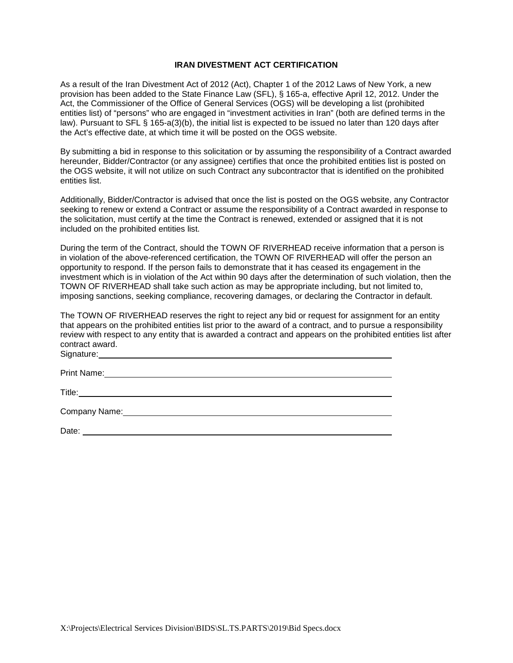#### **IRAN DIVESTMENT ACT CERTIFICATION**

As a result of the Iran Divestment Act of 2012 (Act), Chapter 1 of the 2012 Laws of New York, a new provision has been added to the State Finance Law (SFL), § 165-a, effective April 12, 2012. Under the Act, the Commissioner of the Office of General Services (OGS) will be developing a list (prohibited entities list) of "persons" who are engaged in "investment activities in Iran" (both are defined terms in the law). Pursuant to SFL § 165-a(3)(b), the initial list is expected to be issued no later than 120 days after the Act's effective date, at which time it will be posted on the OGS website.

By submitting a bid in response to this solicitation or by assuming the responsibility of a Contract awarded hereunder, Bidder/Contractor (or any assignee) certifies that once the prohibited entities list is posted on the OGS website, it will not utilize on such Contract any subcontractor that is identified on the prohibited entities list.

Additionally, Bidder/Contractor is advised that once the list is posted on the OGS website, any Contractor seeking to renew or extend a Contract or assume the responsibility of a Contract awarded in response to the solicitation, must certify at the time the Contract is renewed, extended or assigned that it is not included on the prohibited entities list.

During the term of the Contract, should the TOWN OF RIVERHEAD receive information that a person is in violation of the above-referenced certification, the TOWN OF RIVERHEAD will offer the person an opportunity to respond. If the person fails to demonstrate that it has ceased its engagement in the investment which is in violation of the Act within 90 days after the determination of such violation, then the TOWN OF RIVERHEAD shall take such action as may be appropriate including, but not limited to, imposing sanctions, seeking compliance, recovering damages, or declaring the Contractor in default.

The TOWN OF RIVERHEAD reserves the right to reject any bid or request for assignment for an entity that appears on the prohibited entities list prior to the award of a contract, and to pursue a responsibility review with respect to any entity that is awarded a contract and appears on the prohibited entities list after contract award. Signature:

Print Name:

Title: **The Community of the Community of the Community of the Community of the Community of the Community of the Community of the Community of the Community of the Community of the Community of the Community of the Commun** 

Company Name: 1988 Company Name: 1988 Company Name: 1988 Company Name: 1988 Company Name: 1988 Company Name: 1988 Company Name: 1988 Company Name: 1988 Company Name: 1988 Company October 2014 Company October 2014 Company O

Date: